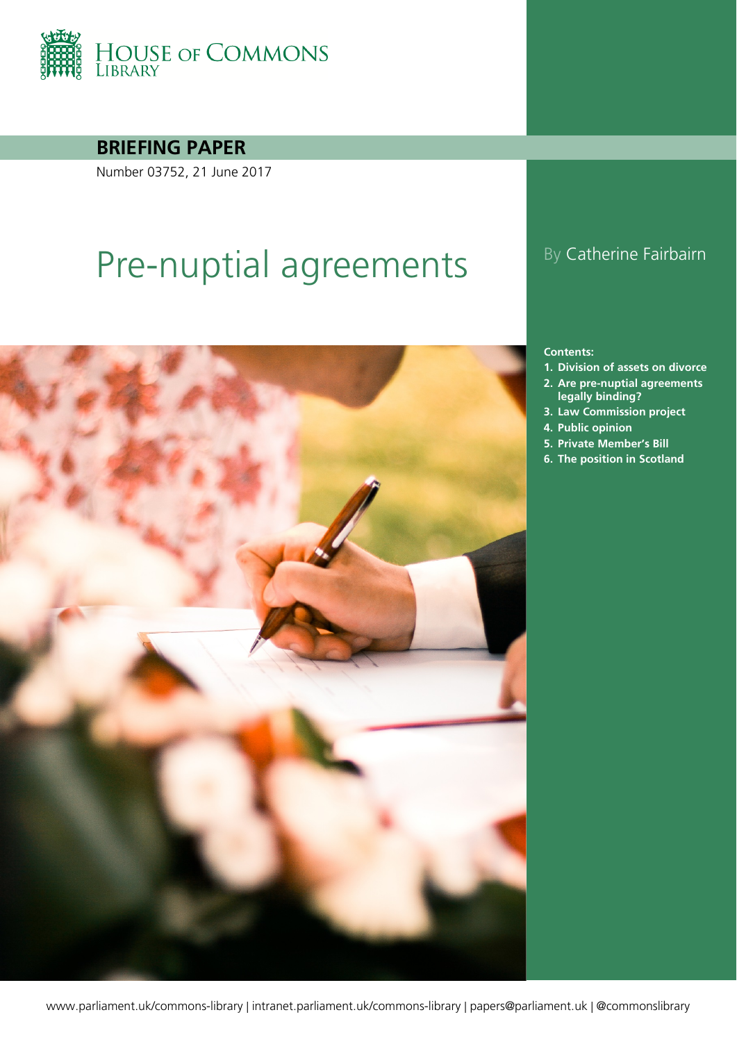

**BRIEFING PAPER**

Number 03752, 21 June 2017

# Pre-nuptial agreements By Catherine Fairbairn



#### **Contents:**

- **1. [Division of assets on divorce](#page-3-0)**
- **2. [Are pre-nuptial agreements](#page-4-0)  [legally binding?](#page-4-0)**
- **3. [Law Commission project](#page-11-0)**
- **4. [Public opinion](#page-13-0)**
- **5. [Private Member's Bill](#page-14-0)**
- **6. [The position in Scotland](#page-16-0)**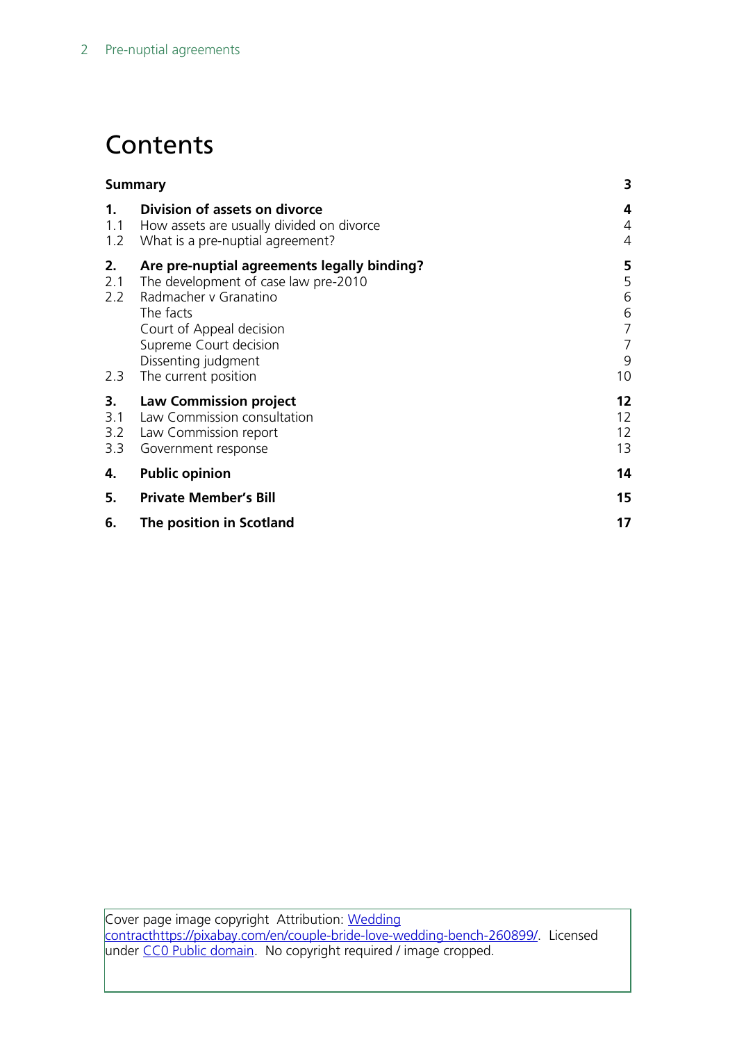# **Contents**

|                         | <b>Summary</b>                                                                                                                                                                                                                 |                                                    |
|-------------------------|--------------------------------------------------------------------------------------------------------------------------------------------------------------------------------------------------------------------------------|----------------------------------------------------|
| 1.<br>1.1<br>1.2        | Division of assets on divorce<br>How assets are usually divided on divorce<br>What is a pre-nuptial agreement?                                                                                                                 | 4<br>4<br>$\overline{4}$                           |
| 2.<br>2.1<br>2.2<br>2.3 | Are pre-nuptial agreements legally binding?<br>The development of case law pre-2010<br>Radmacher y Granatino<br>The facts<br>Court of Appeal decision<br>Supreme Court decision<br>Dissenting judgment<br>The current position | 5<br>5<br>6<br>6<br>$\overline{7}$<br>7<br>9<br>10 |
| 3.<br>3.1<br>3.2<br>3.3 | <b>Law Commission project</b><br>Law Commission consultation<br>Law Commission report<br>Government response                                                                                                                   | $12 \,$<br>12<br>12<br>13                          |
| 4.                      | <b>Public opinion</b>                                                                                                                                                                                                          | 14                                                 |
| 5.                      | <b>Private Member's Bill</b>                                                                                                                                                                                                   | 15                                                 |
| 6.                      | The position in Scotland                                                                                                                                                                                                       | 17                                                 |

Cover page image copyright Attribution: Wedding [contract](https://www.pexels.com/photo/person-drawing-on-white-paper-210642/)[https://pixabay.com/en/couple-bride-love-wedding-bench-260899/.](https://pixabay.com/en/couple-bride-love-wedding-bench-260899/) Licensed under [CC0 Public domain.](https://www.pexels.com/photo-license/) No copyright required / image cropped.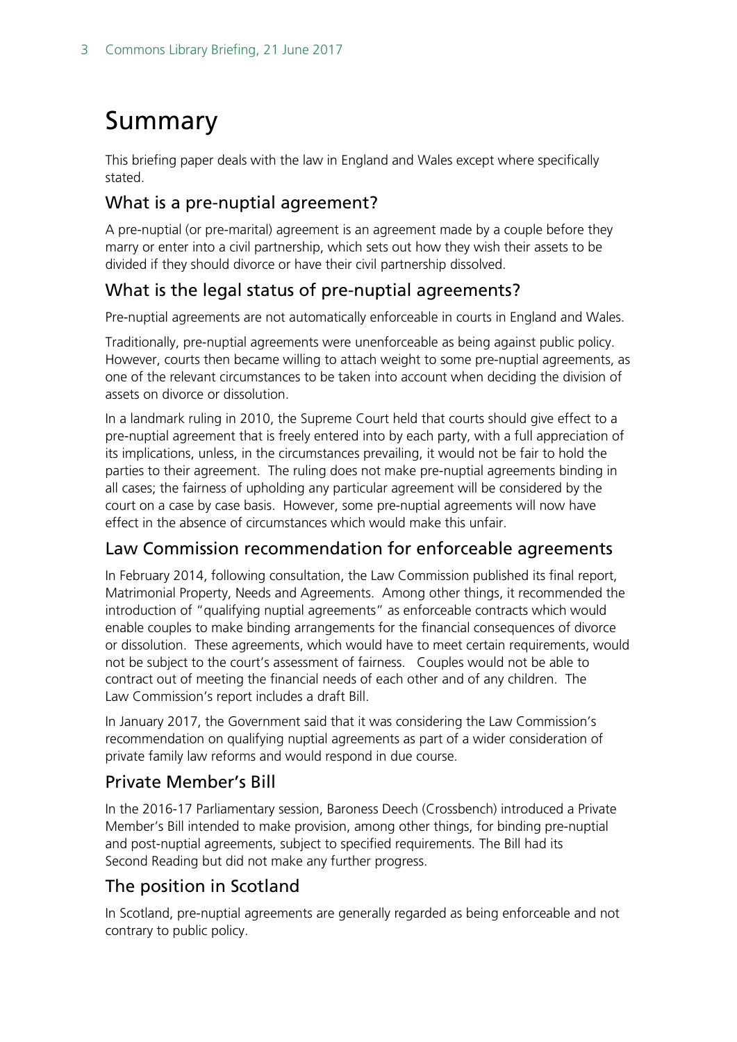# <span id="page-2-0"></span>Summary

This briefing paper deals with the law in England and Wales except where specifically stated.

#### What is a pre-nuptial agreement?

A pre-nuptial (or pre-marital) agreement is an agreement made by a couple before they marry or enter into a civil partnership, which sets out how they wish their assets to be divided if they should divorce or have their civil partnership dissolved.

### What is the legal status of pre-nuptial agreements?

Pre-nuptial agreements are not automatically enforceable in courts in England and Wales.

Traditionally, pre-nuptial agreements were unenforceable as being against public policy. However, courts then became willing to attach weight to some pre-nuptial agreements, as one of the relevant circumstances to be taken into account when deciding the division of assets on divorce or dissolution.

In a landmark ruling in 2010, the Supreme Court held that courts should give effect to a pre-nuptial agreement that is freely entered into by each party, with a full appreciation of its implications, unless, in the circumstances prevailing, it would not be fair to hold the parties to their agreement. The ruling does not make pre-nuptial agreements binding in all cases; the fairness of upholding any particular agreement will be considered by the court on a case by case basis. However, some pre-nuptial agreements will now have effect in the absence of circumstances which would make this unfair.

#### Law Commission recommendation for enforceable agreements

In February 2014, following consultation, the Law Commission published its final report, Matrimonial Property, Needs and Agreements. Among other things, it recommended the introduction of "qualifying nuptial agreements" as enforceable contracts which would enable couples to make binding arrangements for the financial consequences of divorce or dissolution. These agreements, which would have to meet certain requirements, would not be subject to the court's assessment of fairness. Couples would not be able to contract out of meeting the financial needs of each other and of any children. The Law Commission's report includes a draft Bill.

In January 2017, the Government said that it was considering the Law Commission's recommendation on qualifying nuptial agreements as part of a wider consideration of private family law reforms and would respond in due course.

### Private Member's Bill

In the 2016-17 Parliamentary session, Baroness Deech (Crossbench) introduced a Private Member's Bill intended to make provision, among other things, for binding pre-nuptial and post-nuptial agreements, subject to specified requirements. The Bill had its Second Reading but did not make any further progress.

### The position in Scotland

In Scotland, pre-nuptial agreements are generally regarded as being enforceable and not contrary to public policy.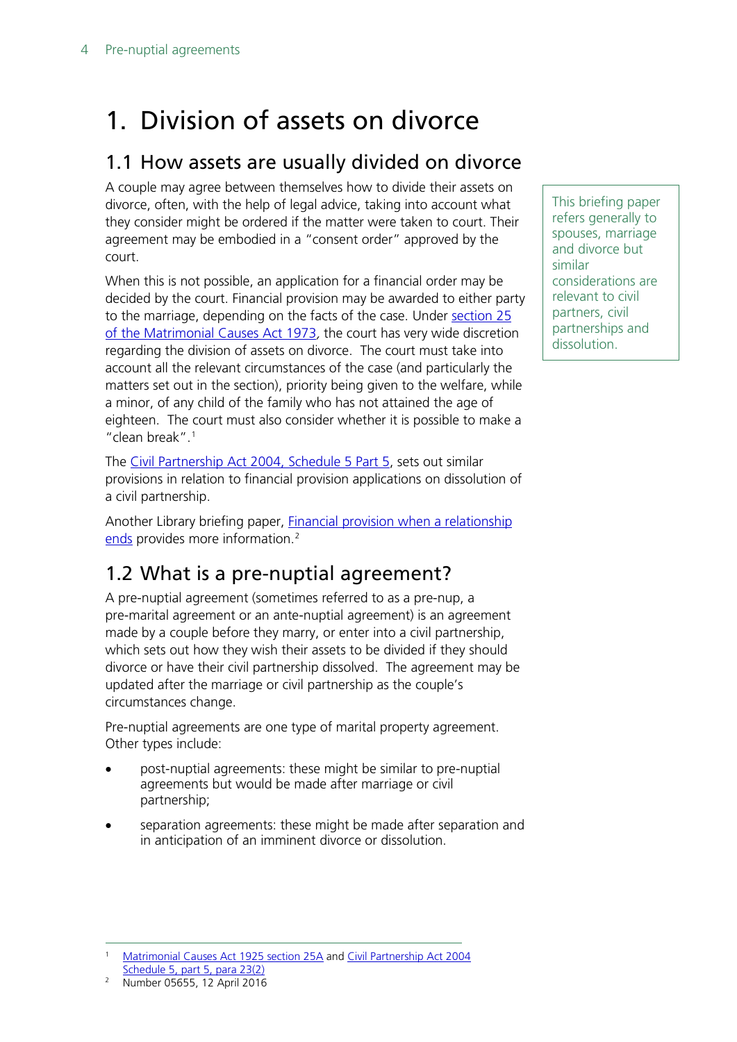# <span id="page-3-0"></span>1. Division of assets on divorce

### <span id="page-3-1"></span>1.1 How assets are usually divided on divorce

A couple may agree between themselves how to divide their assets on divorce, often, with the help of legal advice, taking into account what they consider might be ordered if the matter were taken to court. Their agreement may be embodied in a "consent order" approved by the court.

When this is not possible, an application for a financial order may be decided by the court. Financial provision may be awarded to either party to the marriage, depending on the facts of the case. Under section 25 [of the Matrimonial Causes Act 1973](http://www.legislation.gov.uk/ukpga/1973/18/section/25), the court has very wide discretion regarding the division of assets on divorce. The court must take into account all the relevant circumstances of the case (and particularly the matters set out in the section), priority being given to the welfare, while a minor, of any child of the family who has not attained the age of eighteen. The court must also consider whether it is possible to make a "clean break".<sup>[1](#page-3-3)</sup>

The [Civil Partnership Act 2004, Schedule 5 Part 5,](http://www.legislation.gov.uk/ukpga/2004/33/schedule/5) sets out similar provisions in relation to financial provision applications on dissolution of a civil partnership.

Another Library briefing paper, **Financial provision when a relationship** [ends](http://www.parliament.uk/briefing-papers/SN05655/financial-provision-orders-on-the-breakdown-of-a-relationship) provides more information.<sup>2</sup>

## <span id="page-3-2"></span>1.2 What is a pre-nuptial agreement?

A pre-nuptial agreement (sometimes referred to as a pre-nup, a pre-marital agreement or an ante-nuptial agreement) is an agreement made by a couple before they marry, or enter into a civil partnership, which sets out how they wish their assets to be divided if they should divorce or have their civil partnership dissolved. The agreement may be updated after the marriage or civil partnership as the couple's circumstances change.

Pre-nuptial agreements are one type of marital property agreement. Other types include:

- post-nuptial agreements: these might be similar to pre-nuptial agreements but would be made after marriage or civil partnership;
- separation agreements: these might be made after separation and in anticipation of an imminent divorce or dissolution.

 1 [Matrimonial Causes Act 1925](http://www.legislation.gov.uk/ukpga/1973/18/section/25A) section 25A and [Civil Partnership Act 2004](http://www.legislation.gov.uk/ukpga/2004/33/schedule/5)  Schedule [5, part 5, para 23\(2\)](http://www.legislation.gov.uk/ukpga/2004/33/schedule/5)

<span id="page-3-4"></span><span id="page-3-3"></span><sup>2</sup> Number 05655, 12 April 2016

This briefing paper refers generally to spouses, marriage and divorce but similar considerations are relevant to civil partners, civil partnerships and dissolution.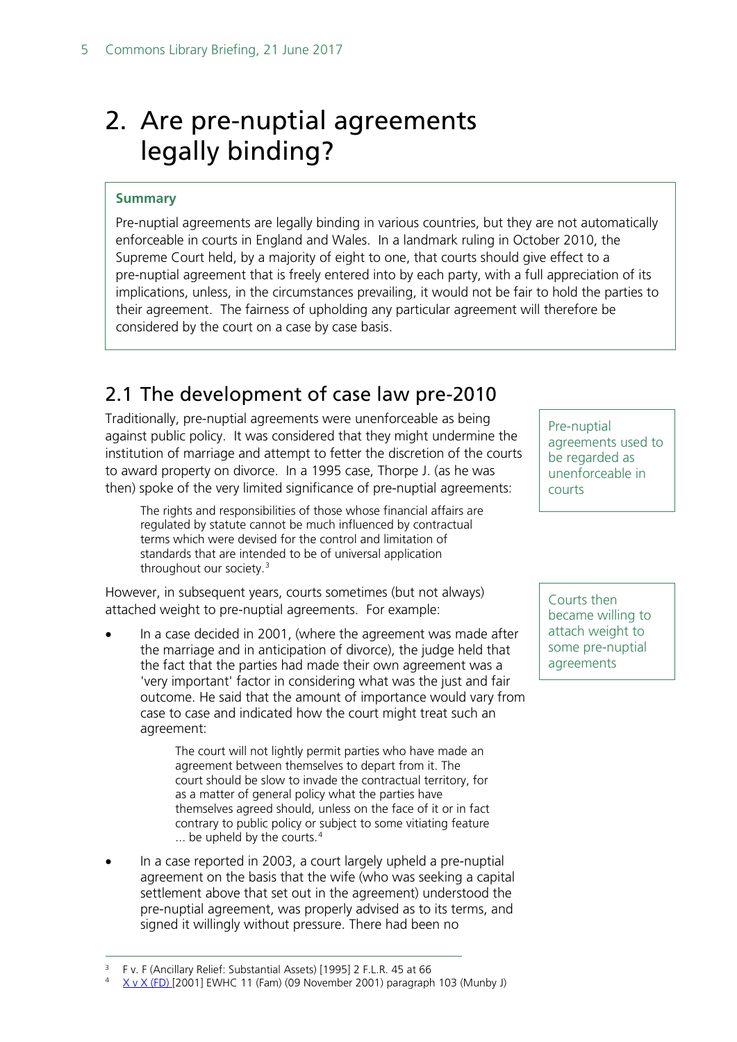# <span id="page-4-0"></span>2. Are pre-nuptial agreements legally binding?

#### **Summary**

Pre-nuptial agreements are legally binding in various countries, but they are not automatically enforceable in courts in England and Wales. In a landmark ruling in October 2010, the Supreme Court held, by a majority of eight to one, that courts should give effect to a pre-nuptial agreement that is freely entered into by each party, with a full appreciation of its implications, unless, in the circumstances prevailing, it would not be fair to hold the parties to their agreement. The fairness of upholding any particular agreement will therefore be considered by the court on a case by case basis.

### <span id="page-4-1"></span>2.1 The development of case law pre-2010

Traditionally, pre-nuptial agreements were unenforceable as being against public policy. It was considered that they might undermine the institution of marriage and attempt to fetter the discretion of the courts to award property on divorce. In a 1995 case, Thorpe J. (as he was then) spoke of the very limited significance of pre-nuptial agreements:

The rights and responsibilities of those whose financial affairs are regulated by statute cannot be much influenced by contractual terms which were devised for the control and limitation of standards that are intended to be of universal application throughout our society.<sup>[3](#page-4-2)</sup>

However, in subsequent years, courts sometimes (but not always) attached weight to pre-nuptial agreements. For example:

In a case decided in 2001, (where the agreement was made after the marriage and in anticipation of divorce), the judge held that the fact that the parties had made their own agreement was a 'very important' factor in considering what was the just and fair outcome. He said that the amount of importance would vary from case to case and indicated how the court might treat such an agreement:

> The court will not lightly permit parties who have made an agreement between themselves to depart from it. The court should be slow to invade the contractual territory, for as a matter of general policy what the parties have themselves agreed should, unless on the face of it or in fact contrary to public policy or subject to some vitiating feature  $\ldots$  be upheld by the courts.<sup>[4](#page-4-3)</sup>

• In a case reported in 2003, a court largely upheld a pre-nuptial agreement on the basis that the wife (who was seeking a capital settlement above that set out in the agreement) understood the pre-nuptial agreement, was properly advised as to its terms, and signed it willingly without pressure. There had been no

<span id="page-4-3"></span><span id="page-4-2"></span><sup>4</sup> [X v X \(FD\) \[2](http://www.bailii.org/ew/cases/EWHC/Fam/2001/11.html)001] EWHC 11 (Fam) (09 November 2001) paragraph 103 (Munby J)

Pre-nuptial agreements used to be regarded as unenforceable in courts

Courts then became willing to attach weight to some pre-nuptial agreements

 <sup>3</sup> F v. F (Ancillary Relief: Substantial Assets) [1995] 2 F.L.R. 45 at 66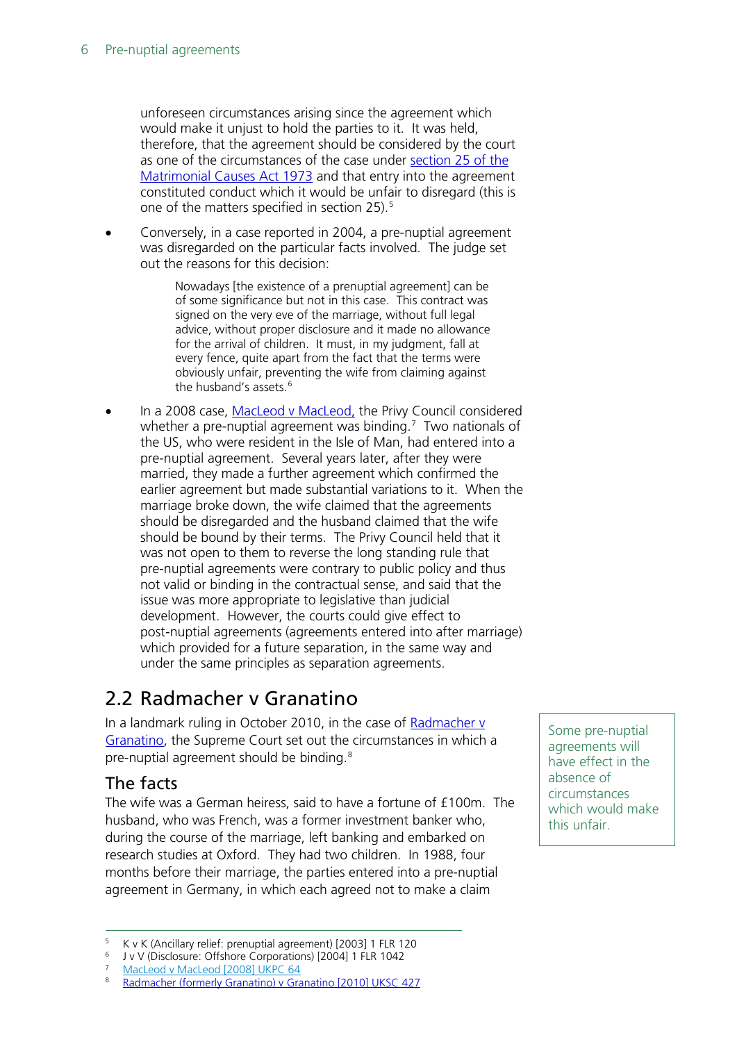unforeseen circumstances arising since the agreement which would make it unjust to hold the parties to it. It was held, therefore, that the agreement should be considered by the court as one of the circumstances of the case under [section 25 of the](http://www.legislation.gov.uk/ukpga/1973/18/section/25)  [Matrimonial Causes Act 1973](http://www.legislation.gov.uk/ukpga/1973/18/section/25) and that entry into the agreement constituted conduct which it would be unfair to disregard (this is one of the matters specified in section 25). [5](#page-5-2)

• Conversely, in a case reported in 2004, a pre-nuptial agreement was disregarded on the particular facts involved. The judge set out the reasons for this decision:

> Nowadays [the existence of a prenuptial agreement] can be of some significance but not in this case. This contract was signed on the very eve of the marriage, without full legal advice, without proper disclosure and it made no allowance for the arrival of children. It must, in my judgment, fall at every fence, quite apart from the fact that the terms were obviously unfair, preventing the wife from claiming against the husband's assets.<sup>[6](#page-5-3)</sup>

In a 2008 case, [MacLeod v MacLeod,](http://www.bailii.org/uk/cases/UKPC/2008/64.html) the Privy Council considered whether a pre-nuptial agreement was binding.<sup>[7](#page-5-4)</sup> Two nationals of the US, who were resident in the Isle of Man, had entered into a pre-nuptial agreement. Several years later, after they were married, they made a further agreement which confirmed the earlier agreement but made substantial variations to it. When the marriage broke down, the wife claimed that the agreements should be disregarded and the husband claimed that the wife should be bound by their terms. The Privy Council held that it was not open to them to reverse the long standing rule that pre-nuptial agreements were contrary to public policy and thus not valid or binding in the contractual sense, and said that the issue was more appropriate to legislative than judicial development. However, the courts could give effect to post-nuptial agreements (agreements entered into after marriage) which provided for a future separation, in the same way and under the same principles as separation agreements.

### <span id="page-5-0"></span>2.2 Radmacher v Granatino

In a landmark ruling in October 2010, in the case of Radmacher v [Granatino,](http://www.bailii.org/uk/cases/UKSC/2010/42.html) the Supreme Court set out the circumstances in which a pre-nuptial agreement should be binding.[8](#page-5-5)

#### <span id="page-5-1"></span>The facts

The wife was a German heiress, said to have a fortune of £100m. The husband, who was French, was a former investment banker who, during the course of the marriage, left banking and embarked on research studies at Oxford. They had two children. In 1988, four months before their marriage, the parties entered into a pre-nuptial agreement in Germany, in which each agreed not to make a claim

<span id="page-5-5"></span><span id="page-5-4"></span><sup>7</sup> [MacLeod v MacLeod \[2008\] UKPC 64](http://www.bailii.org/uk/cases/UKPC/2008/64.html)

Some pre-nuptial agreements will have effect in the absence of circumstances which would make this unfair.

 <sup>5</sup> K v K (Ancillary relief: prenuptial agreement) [2003] 1 FLR 120

<span id="page-5-3"></span><span id="page-5-2"></span><sup>6</sup> J v V (Disclosure: Offshore Corporations) [2004] 1 FLR 1042

<sup>8</sup> [Radmacher \(formerly Granatino\) v Granatino \[2010\] UKSC 427](http://www.bailii.org/uk/cases/UKSC/2010/42.html)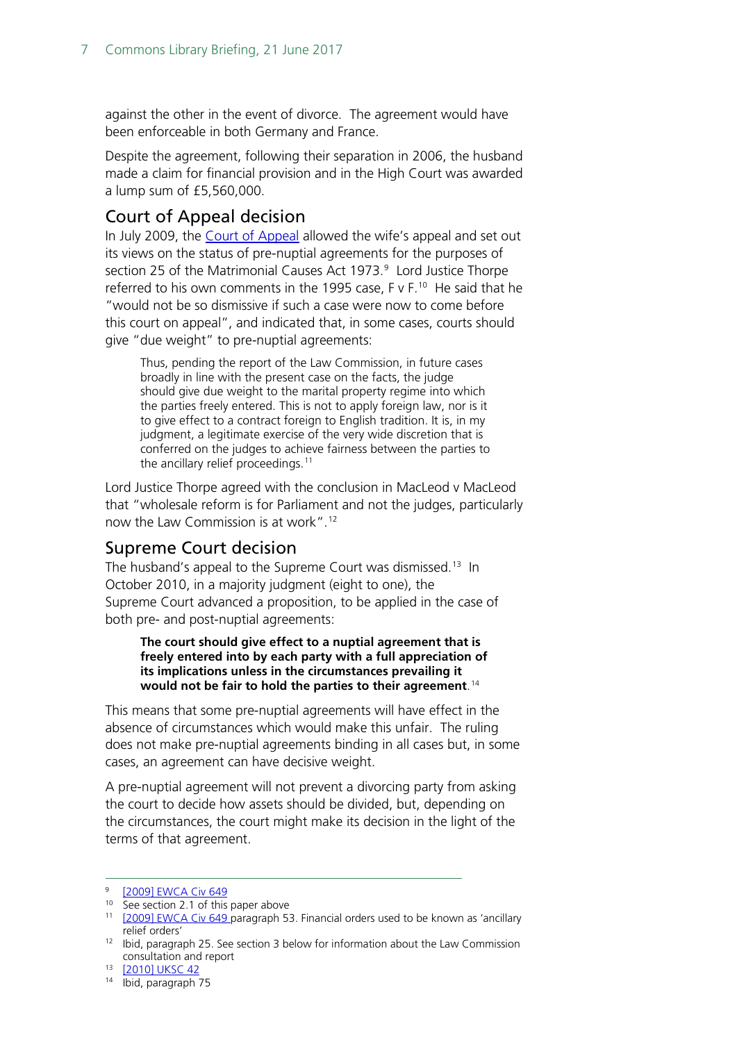against the other in the event of divorce. The agreement would have been enforceable in both Germany and France.

Despite the agreement, following their separation in 2006, the husband made a claim for financial provision and in the High Court was awarded a lump sum of £5,560,000.

#### <span id="page-6-0"></span>Court of Appeal decision

In July 2009, the [Court of Appeal](http://www.bailii.org/cgi-bin/markup.cgi?doc=/ew/cases/EWCA/Civ/2009/649.html&query=radmacher&method=boolean) allowed the wife's appeal and set out its views on the status of pre-nuptial agreements for the purposes of section 25 of the Matrimonial Causes Act 1973. [9](#page-6-2) Lord Justice Thorpe referred to his own comments in the 1995 case, F v F. [10](#page-6-3) He said that he "would not be so dismissive if such a case were now to come before this court on appeal", and indicated that, in some cases, courts should give "due weight" to pre-nuptial agreements:

Thus, pending the report of the Law Commission, in future cases broadly in line with the present case on the facts, the judge should give due weight to the marital property regime into which the parties freely entered. This is not to apply foreign law, nor is it to give effect to a contract foreign to English tradition. It is, in my judgment, a legitimate exercise of the very wide discretion that is conferred on the judges to achieve fairness between the parties to the ancillary relief proceedings.<sup>[11](#page-6-4)</sup>

Lord Justice Thorpe agreed with the conclusion in MacLeod v MacLeod that "wholesale reform is for Parliament and not the judges, particularly now the Law Commission is at work".[12](#page-6-5)

#### <span id="page-6-1"></span>Supreme Court decision

The husband's appeal to the Supreme Court was dismissed.<sup>13</sup> In October 2010, in a majority judgment (eight to one), the Supreme Court advanced a proposition, to be applied in the case of both pre- and post-nuptial agreements:

**The court should give effect to a nuptial agreement that is freely entered into by each party with a full appreciation of its implications unless in the circumstances prevailing it would not be fair to hold the parties to their agreement**. [14](#page-6-7)

This means that some pre-nuptial agreements will have effect in the absence of circumstances which would make this unfair. The ruling does not make pre-nuptial agreements binding in all cases but, in some cases, an agreement can have decisive weight.

A pre-nuptial agreement will not prevent a divorcing party from asking the court to decide how assets should be divided, but, depending on the circumstances, the court might make its decision in the light of the terms of that agreement.

<span id="page-6-3"></span><span id="page-6-2"></span> <sup>9</sup> [\[2009\] EWCA Civ 649](http://www.bailii.org/cgi-bin/markup.cgi?doc=/ew/cases/EWCA/Civ/2009/649.html&query=radmacher&method=boolean)

<sup>&</sup>lt;sup>10</sup> See section 2.1 of this paper above

<span id="page-6-4"></span><sup>&</sup>lt;sup>11</sup> [\[2009\] EWCA Civ 649](http://www.bailii.org/cgi-bin/markup.cgi?doc=/ew/cases/EWCA/Civ/2009/649.html&query=radmacher&method=boolean) paragraph 53. Financial orders used to be known as 'ancillary relief orders'

<span id="page-6-5"></span><sup>&</sup>lt;sup>12</sup> Ibid, paragraph 25. See section 3 below for information about the Law Commission consultation and report

<span id="page-6-6"></span><sup>13</sup> [\[2010\] UKSC 42](http://www.bailii.org/uk/cases/UKSC/2010/42.html)

<span id="page-6-7"></span><sup>14</sup> Ibid, paragraph 75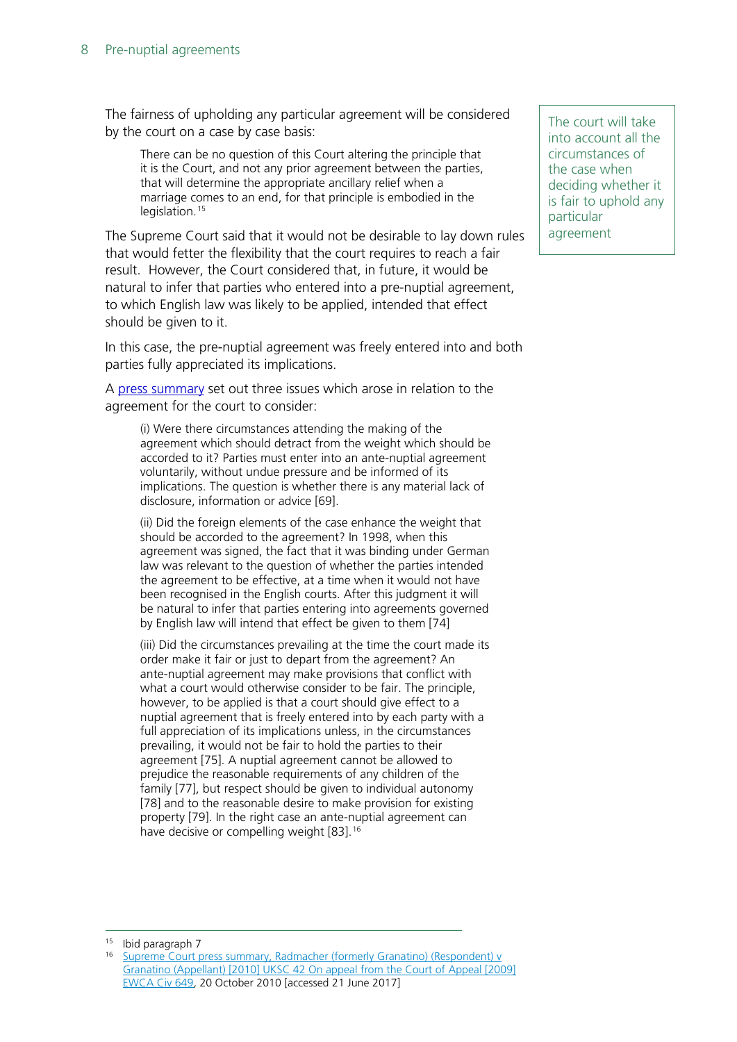The fairness of upholding any particular agreement will be considered by the court on a case by case basis:

There can be no question of this Court altering the principle that it is the Court, and not any prior agreement between the parties, that will determine the appropriate ancillary relief when a marriage comes to an end, for that principle is embodied in the legislation.<sup>[15](#page-7-0)</sup>

The Supreme Court said that it would not be desirable to lay down rules that would fetter the flexibility that the court requires to reach a fair result. However, the Court considered that, in future, it would be natural to infer that parties who entered into a pre-nuptial agreement, to which English law was likely to be applied, intended that effect should be given to it.

In this case, the pre-nuptial agreement was freely entered into and both parties fully appreciated its implications.

A [press summary](http://supremecourt.uk/decided-cases/docs/UKSC_2009_0031_PressSummary.pdf) set out three issues which arose in relation to the agreement for the court to consider:

(i) Were there circumstances attending the making of the agreement which should detract from the weight which should be accorded to it? Parties must enter into an ante-nuptial agreement voluntarily, without undue pressure and be informed of its implications. The question is whether there is any material lack of disclosure, information or advice [69].

(ii) Did the foreign elements of the case enhance the weight that should be accorded to the agreement? In 1998, when this agreement was signed, the fact that it was binding under German law was relevant to the question of whether the parties intended the agreement to be effective, at a time when it would not have been recognised in the English courts. After this judgment it will be natural to infer that parties entering into agreements governed by English law will intend that effect be given to them [74]

(iii) Did the circumstances prevailing at the time the court made its order make it fair or just to depart from the agreement? An ante-nuptial agreement may make provisions that conflict with what a court would otherwise consider to be fair. The principle, however, to be applied is that a court should give effect to a nuptial agreement that is freely entered into by each party with a full appreciation of its implications unless, in the circumstances prevailing, it would not be fair to hold the parties to their agreement [75]. A nuptial agreement cannot be allowed to prejudice the reasonable requirements of any children of the family [77], but respect should be given to individual autonomy [78] and to the reasonable desire to make provision for existing property [79]. In the right case an ante-nuptial agreement can have decisive or compelling weight [83].<sup>[16](#page-7-1)</sup>

The court will take into account all the circumstances of the case when deciding whether it is fair to uphold any particular agreement

<span id="page-7-1"></span><span id="page-7-0"></span> <sup>15</sup> Ibid paragraph 7

<sup>16</sup> [Supreme Court press summary, Radmacher \(formerly Granatino\) \(Respondent\) v](http://supremecourt.uk/decided-cases/docs/UKSC_2009_0031_PressSummary.pdf)  [Granatino \(Appellant\) \[2010\] UKSC 42 On appeal from the Court of Appeal \[2009\]](http://supremecourt.uk/decided-cases/docs/UKSC_2009_0031_PressSummary.pdf)  [EWCA Civ 649](http://supremecourt.uk/decided-cases/docs/UKSC_2009_0031_PressSummary.pdf), 20 October 2010 [accessed 21 June 2017]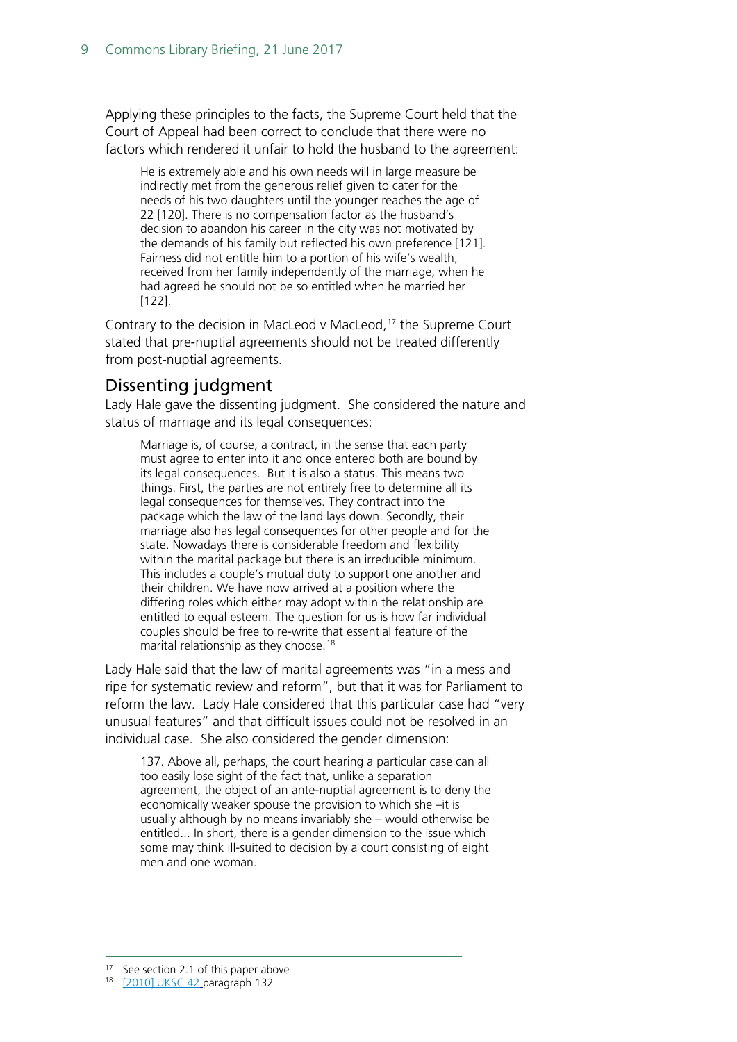Applying these principles to the facts, the Supreme Court held that the Court of Appeal had been correct to conclude that there were no factors which rendered it unfair to hold the husband to the agreement:

He is extremely able and his own needs will in large measure be indirectly met from the generous relief given to cater for the needs of his two daughters until the younger reaches the age of 22 [120]. There is no compensation factor as the husband's decision to abandon his career in the city was not motivated by the demands of his family but reflected his own preference [121]. Fairness did not entitle him to a portion of his wife's wealth, received from her family independently of the marriage, when he had agreed he should not be so entitled when he married her [122].

Contrary to the decision in MacLeod v MacLeod,<sup>[17](#page-8-1)</sup> the Supreme Court stated that pre-nuptial agreements should not be treated differently from post-nuptial agreements.

#### <span id="page-8-0"></span>Dissenting judgment

Lady Hale gave the dissenting judgment. She considered the nature and status of marriage and its legal consequences:

Marriage is, of course, a contract, in the sense that each party must agree to enter into it and once entered both are bound by its legal consequences. But it is also a status. This means two things. First, the parties are not entirely free to determine all its legal consequences for themselves. They contract into the package which the law of the land lays down. Secondly, their marriage also has legal consequences for other people and for the state. Nowadays there is considerable freedom and flexibility within the marital package but there is an irreducible minimum. This includes a couple's mutual duty to support one another and their children. We have now arrived at a position where the differing roles which either may adopt within the relationship are entitled to equal esteem. The question for us is how far individual couples should be free to re-write that essential feature of the marital relationship as they choose.<sup>[18](#page-8-2)</sup>

Lady Hale said that the law of marital agreements was "in a mess and ripe for systematic review and reform", but that it was for Parliament to reform the law. Lady Hale considered that this particular case had "very unusual features" and that difficult issues could not be resolved in an individual case. She also considered the gender dimension:

<span id="page-8-2"></span><span id="page-8-1"></span>137. Above all, perhaps, the court hearing a particular case can all too easily lose sight of the fact that, unlike a separation agreement, the object of an ante-nuptial agreement is to deny the economically weaker spouse the provision to which she –it is usually although by no means invariably she – would otherwise be entitled... In short, there is a gender dimension to the issue which some may think ill-suited to decision by a court consisting of eight men and one woman.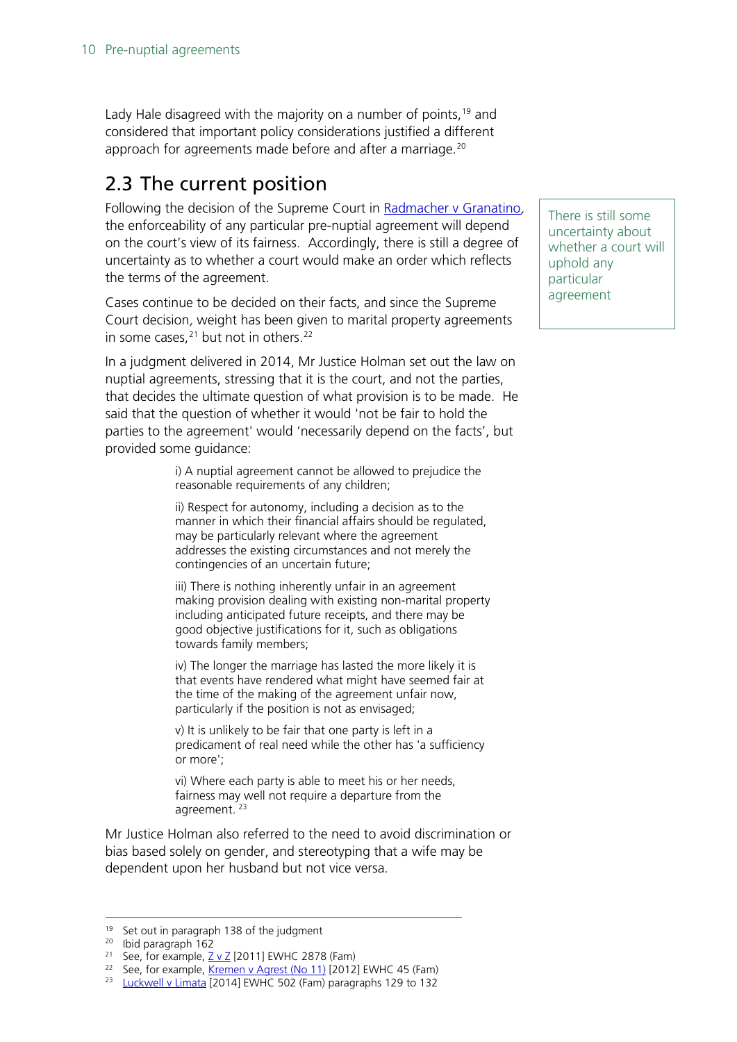Lady Hale disagreed with the majority on a number of points,  $19$  and considered that important policy considerations justified a different approach for agreements made before and after a marriage.<sup>[20](#page-9-2)</sup>

### <span id="page-9-0"></span>2.3 The current position

Following the decision of the Supreme Court in [Radmacher v Granatino](http://www.bailii.org/uk/cases/UKSC/2010/42.html), the enforceability of any particular pre-nuptial agreement will depend on the court's view of its fairness. Accordingly, there is still a degree of uncertainty as to whether a court would make an order which reflects the terms of the agreement.

Cases continue to be decided on their facts, and since the Supreme Court decision, weight has been given to marital property agreements in some cases, $21$  but not in others.<sup>[22](#page-9-4)</sup>

In a judgment delivered in 2014, Mr Justice Holman set out the law on nuptial agreements, stressing that it is the court, and not the parties, that decides the ultimate question of what provision is to be made. He said that the question of whether it would 'not be fair to hold the parties to the agreement' would 'necessarily depend on the facts', but provided some guidance:

> i) A nuptial agreement cannot be allowed to prejudice the reasonable requirements of any children;

ii) Respect for autonomy, including a decision as to the manner in which their financial affairs should be regulated, may be particularly relevant where the agreement addresses the existing circumstances and not merely the contingencies of an uncertain future;

iii) There is nothing inherently unfair in an agreement making provision dealing with existing non-marital property including anticipated future receipts, and there may be good objective justifications for it, such as obligations towards family members;

iv) The longer the marriage has lasted the more likely it is that events have rendered what might have seemed fair at the time of the making of the agreement unfair now, particularly if the position is not as envisaged;

v) It is unlikely to be fair that one party is left in a predicament of real need while the other has 'a sufficiency or more';

vi) Where each party is able to meet his or her needs, fairness may well not require a departure from the agreement. [23](#page-9-5)

Mr Justice Holman also referred to the need to avoid discrimination or bias based solely on gender, and stereotyping that a wife may be dependent upon her husband but not vice versa.

There is still some uncertainty about whether a court will uphold any particular agreement

<span id="page-9-2"></span><span id="page-9-1"></span><sup>&</sup>lt;sup>19</sup> Set out in paragraph 138 of the judgment

<sup>20</sup> Ibid paragraph 162

<sup>&</sup>lt;sup>21</sup> See, for example,  $Z \vee Z$  [2011] EWHC 2878 (Fam)

<span id="page-9-4"></span><span id="page-9-3"></span><sup>&</sup>lt;sup>22</sup> See, for example, [Kremen v Agrest \(No 11\)](http://www.bailii.org/ew/cases/EWHC/Fam/2012/45.html) [2012] EWHC 45 (Fam)

<span id="page-9-5"></span><sup>&</sup>lt;sup>23</sup> [Luckwell v Limata](http://www.bailii.org/ew/cases/EWHC/Fam/2014/502.html) [2014] EWHC 502 (Fam) paragraphs 129 to 132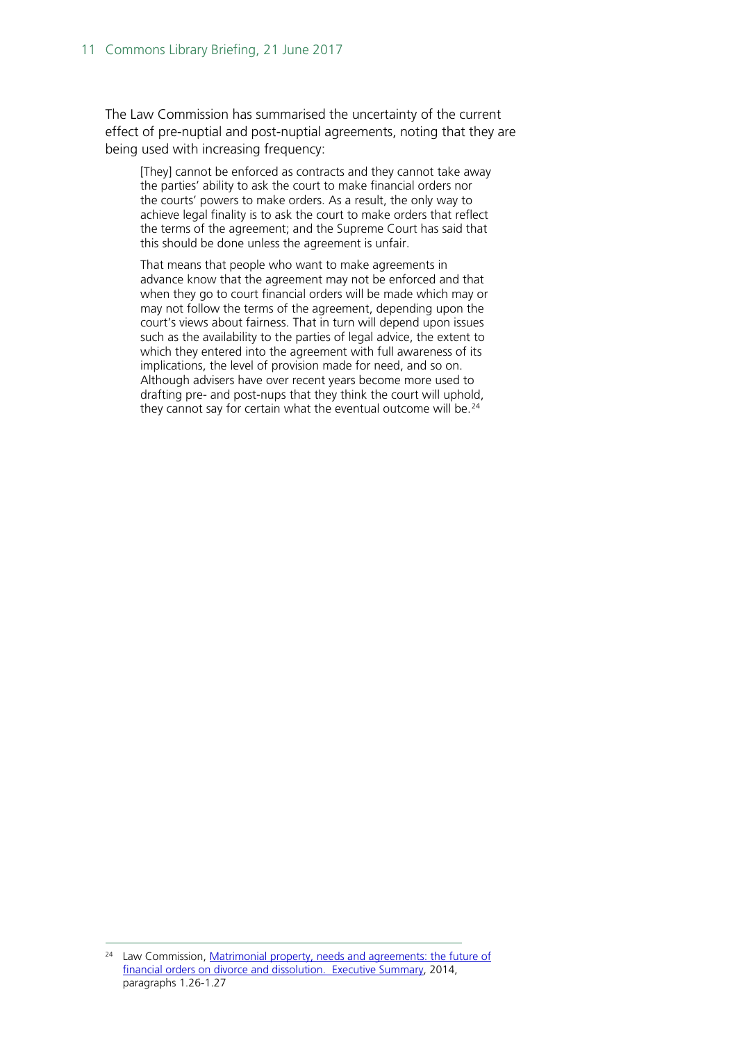The Law Commission has summarised the uncertainty of the current effect of pre-nuptial and post-nuptial agreements, noting that they are being used with increasing frequency:

[They] cannot be enforced as contracts and they cannot take away the parties' ability to ask the court to make financial orders nor the courts' powers to make orders. As a result, the only way to achieve legal finality is to ask the court to make orders that reflect the terms of the agreement; and the Supreme Court has said that this should be done unless the agreement is unfair.

That means that people who want to make agreements in advance know that the agreement may not be enforced and that when they go to court financial orders will be made which may or may not follow the terms of the agreement, depending upon the court's views about fairness. That in turn will depend upon issues such as the availability to the parties of legal advice, the extent to which they entered into the agreement with full awareness of its implications, the level of provision made for need, and so on. Although advisers have over recent years become more used to drafting pre- and post-nups that they think the court will uphold, they cannot say for certain what the eventual outcome will be. $24$ 

<span id="page-10-0"></span><sup>&</sup>lt;sup>24</sup> Law Commission, [Matrimonial property, needs and agreements: the](http://lawcommission.justice.gov.uk/docs/lc343_matrimonial_property_summary.pdf) future of [financial orders on divorce and dissolution. Executive Summary,](http://lawcommission.justice.gov.uk/docs/lc343_matrimonial_property_summary.pdf) 2014, paragraphs 1.26-1.27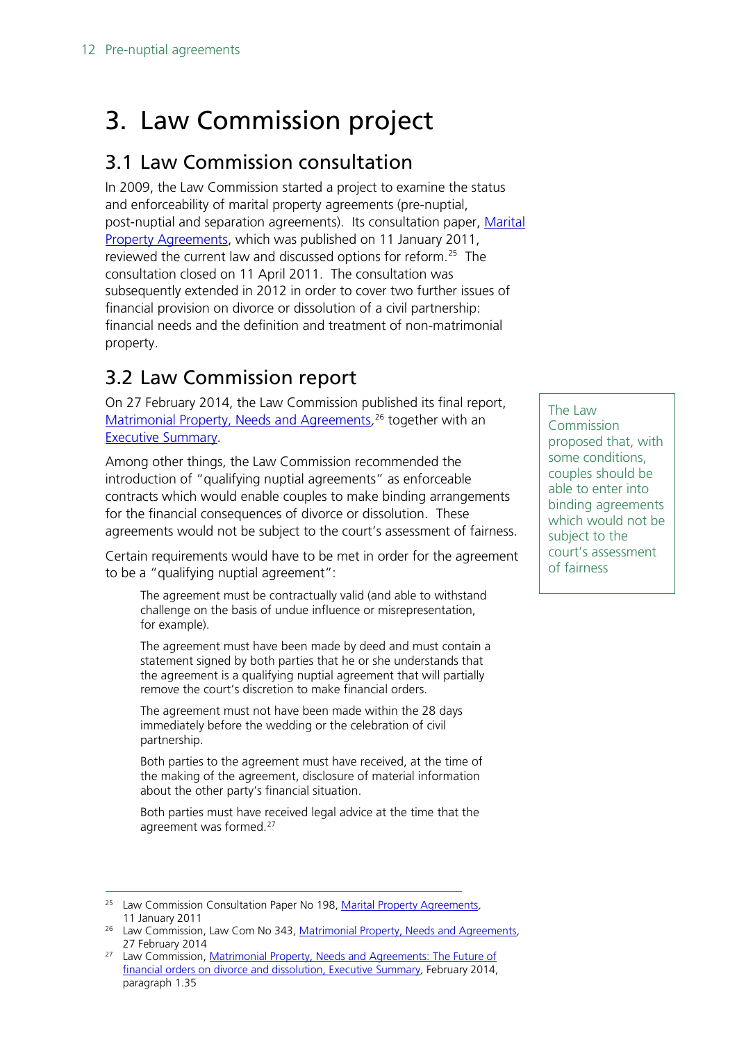# <span id="page-11-0"></span>3. Law Commission project

### <span id="page-11-1"></span>3.1 Law Commission consultation

In 2009, the Law Commission started a project to examine the status and enforceability of marital property agreements (pre-nuptial, post-nuptial and separation agreements). Its consultation paper, Marital [Property Agreements,](http://www.lawcom.gov.uk/wp-content/uploads/2015/03/cp198_Marital_Property_Agreements_Consultation.pdf) which was published on 11 January 2011, reviewed the current law and discussed options for reform.<sup>25</sup> The consultation closed on 11 April 2011. The consultation was subsequently extended in 2012 in order to cover two further issues of financial provision on divorce or dissolution of a civil partnership: financial needs and the definition and treatment of non-matrimonial property.

### <span id="page-11-2"></span>3.2 Law Commission report

On 27 February 2014, the Law Commission published its final report, [Matrimonial Property, Needs and Agreements](http://www.lawcom.gov.uk/wp-content/uploads/2015/03/lc343_matrimonial_property.pdf),<sup>[26](#page-11-4)</sup> together with an [Executive Summary.](http://www.lawcom.gov.uk/wp-content/uploads/2015/03/lc343_matrimonial_property_summary.pdf)

Among other things, the Law Commission recommended the introduction of "qualifying nuptial agreements" as enforceable contracts which would enable couples to make binding arrangements for the financial consequences of divorce or dissolution. These agreements would not be subject to the court's assessment of fairness.

Certain requirements would have to be met in order for the agreement to be a "qualifying nuptial agreement":

The agreement must be contractually valid (and able to withstand challenge on the basis of undue influence or misrepresentation, for example).

The agreement must have been made by deed and must contain a statement signed by both parties that he or she understands that the agreement is a qualifying nuptial agreement that will partially remove the court's discretion to make financial orders.

The agreement must not have been made within the 28 days immediately before the wedding or the celebration of civil partnership.

Both parties to the agreement must have received, at the time of the making of the agreement, disclosure of material information about the other party's financial situation.

Both parties must have received legal advice at the time that the agreement was formed.<sup>[27](#page-11-5)</sup>

The Law Commission proposed that, with some conditions, couples should be able to enter into binding agreements which would not be subject to the court's assessment of fairness

<span id="page-11-3"></span><sup>&</sup>lt;sup>25</sup> Law Commission Consultation Paper No 198, [Marital Property Agreements](http://www.lawcom.gov.uk/wp-content/uploads/2015/03/cp198_Marital_Property_Agreements_Consultation.pdf), 11 January 2011

<span id="page-11-4"></span><sup>&</sup>lt;sup>26</sup> Law Commission, Law Com No 343, [Matrimonial Property, Needs and Agreements](http://www.lawcom.gov.uk/wp-content/uploads/2015/03/lc343_matrimonial_property.pdf), 27 February 2014

<span id="page-11-5"></span><sup>&</sup>lt;sup>27</sup> Law Commission, Matrimonial Property, Needs and Agreements: The Future of [financial orders on divorce and dissolution, Executive Summary](http://www.lawcom.gov.uk/wp-content/uploads/2015/03/lc343_matrimonial_property_summary.pdf), February 2014, paragraph 1.35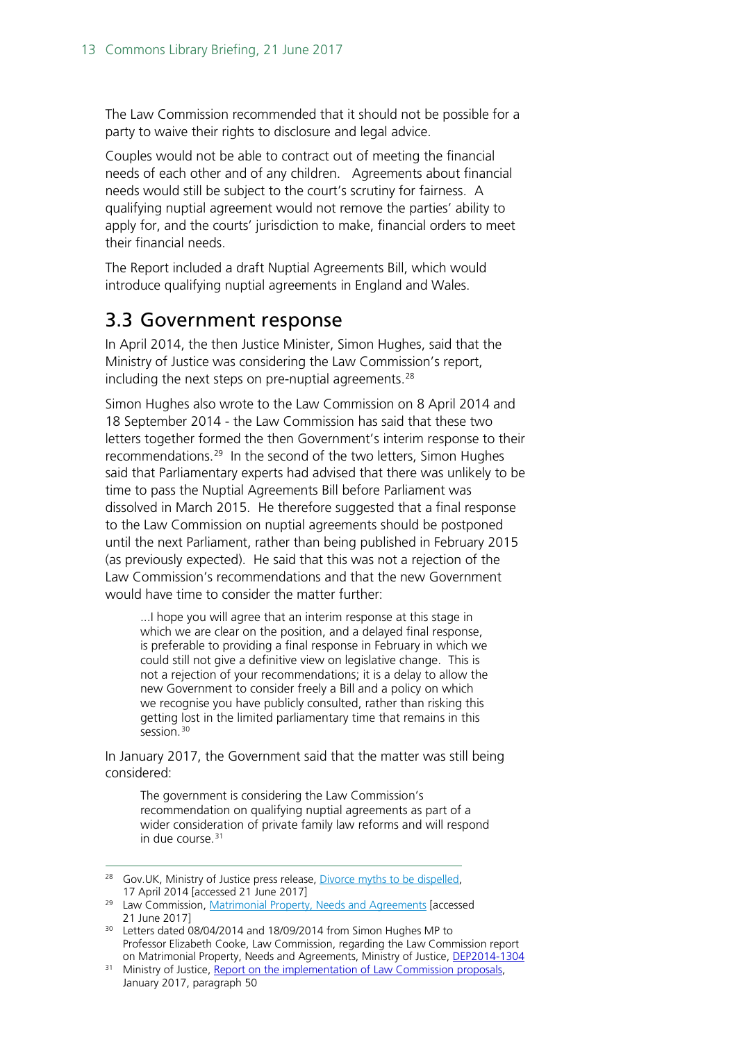The Law Commission recommended that it should not be possible for a party to waive their rights to disclosure and legal advice.

Couples would not be able to contract out of meeting the financial needs of each other and of any children. Agreements about financial needs would still be subject to the court's scrutiny for fairness. A qualifying nuptial agreement would not remove the parties' ability to apply for, and the courts' jurisdiction to make, financial orders to meet their financial needs.

The Report included a draft Nuptial Agreements Bill, which would introduce qualifying nuptial agreements in England and Wales.

### <span id="page-12-0"></span>3.3 Government response

In April 2014, the then Justice Minister, Simon Hughes, said that the Ministry of Justice was considering the Law Commission's report, including the next steps on pre-nuptial agreements.<sup>[28](#page-12-1)</sup>

Simon Hughes also wrote to the Law Commission on 8 April 2014 and 18 September 2014 - the Law Commission has said that these two letters together formed the then Government's interim response to their recommendations.<sup>[29](#page-12-2)</sup> In the second of the two letters, Simon Hughes said that Parliamentary experts had advised that there was unlikely to be time to pass the Nuptial Agreements Bill before Parliament was dissolved in March 2015. He therefore suggested that a final response to the Law Commission on nuptial agreements should be postponed until the next Parliament, rather than being published in February 2015 (as previously expected). He said that this was not a rejection of the Law Commission's recommendations and that the new Government would have time to consider the matter further:

...I hope you will agree that an interim response at this stage in which we are clear on the position, and a delayed final response, is preferable to providing a final response in February in which we could still not give a definitive view on legislative change. This is not a rejection of your recommendations; it is a delay to allow the new Government to consider freely a Bill and a policy on which we recognise you have publicly consulted, rather than risking this getting lost in the limited parliamentary time that remains in this session.<sup>[30](#page-12-3)</sup>

In January 2017, the Government said that the matter was still being considered:

The government is considering the Law Commission's recommendation on qualifying nuptial agreements as part of a wider consideration of private family law reforms and will respond in due course.<sup>[31](#page-12-4)</sup>

<span id="page-12-1"></span><sup>&</sup>lt;sup>28</sup> Gov.UK, Ministry of Justice press release, [Divorce myths to be dispelled,](https://www.gov.uk/government/news/divorce-myths-to-be-dispelled) 17 April 2014 [accessed 21 June 2017]

<span id="page-12-2"></span><sup>&</sup>lt;sup>29</sup> Law Commission, [Matrimonial Property, Needs and Agreements](http://www.lawcom.gov.uk/project/matrimonial-property-needs-and-agreements/) [accessed 21 June 2017]

<span id="page-12-3"></span><sup>&</sup>lt;sup>30</sup> Letters dated 08/04/2014 and 18/09/2014 from Simon Hughes MP to Professor Elizabeth Cooke, Law Commission, regarding the Law Commission report on Matrimonial Property, Needs and Agreements, Ministry of Justice, [DEP2014-1304](http://data.parliament.uk/DepositedPapers/Files/DEP2014-1304/SH_letters_to_Professor_Cooke_MPNA.pdf)

<span id="page-12-4"></span><sup>&</sup>lt;sup>31</sup> Ministry of Justice[, Report on the implementation of Law Commission proposals,](https://www.gov.uk/government/uploads/system/uploads/attachment_data/file/582679/implementation-of-law-commission-proposals-report.pdf#page=17) January 2017, paragraph 50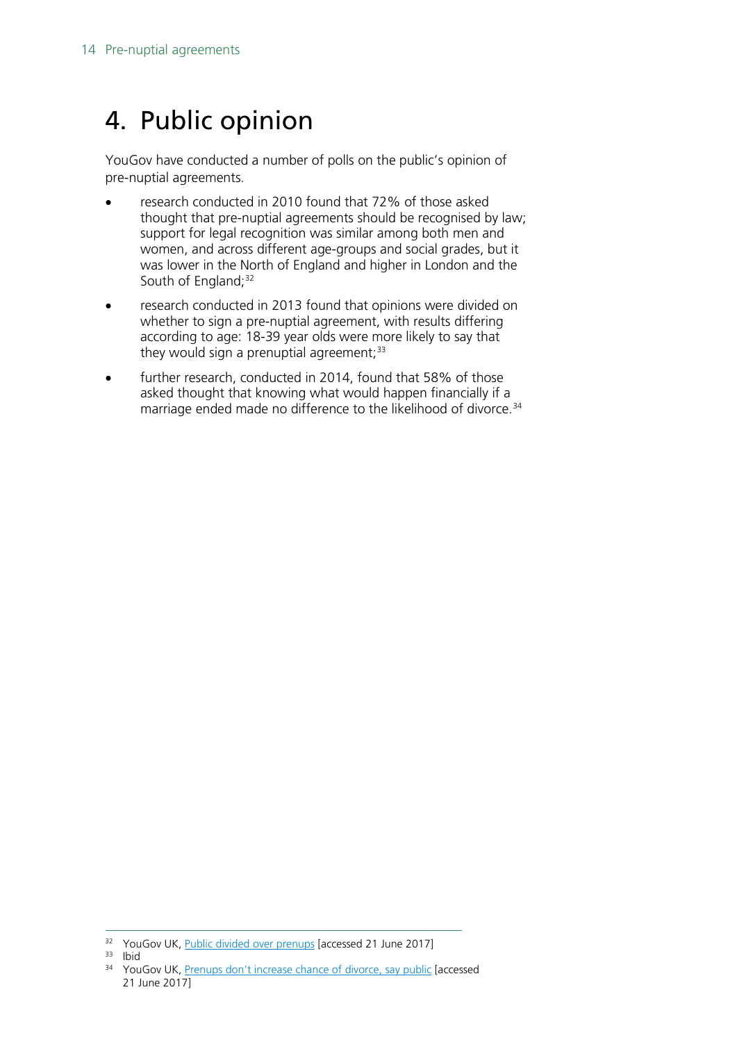# <span id="page-13-0"></span>4. Public opinion

YouGov have conducted a number of polls on the public's opinion of pre-nuptial agreements.

- research conducted in 2010 found that 72% of those asked thought that pre-nuptial agreements should be recognised by law; support for legal recognition was similar among both men and women, and across different age-groups and social grades, but it was lower in the North of England and higher in London and the South of England; [32](#page-13-1)
- research conducted in 2013 found that opinions were divided on whether to sign a pre-nuptial agreement, with results differing according to age: 18-39 year olds were more likely to say that they would sign a prenuptial agreement; $33$
- further research, conducted in 2014, found that 58% of those asked thought that knowing what would happen financially if a marriage ended made no difference to the likelihood of divorce.<sup>[34](#page-13-3)</sup>

<span id="page-13-1"></span> $32$  YouGov UK, *Public divided over prenups* [accessed 21 June 2017]  $33$  Ibid

<span id="page-13-3"></span><span id="page-13-2"></span>

<sup>&</sup>lt;sup>34</sup> YouGov UK, Prenups don't [increase chance of divorce, say public](https://yougov.co.uk/news/2014/03/09/prenups-dont-increase-chance-divorce/) [accessed] 21 June 2017]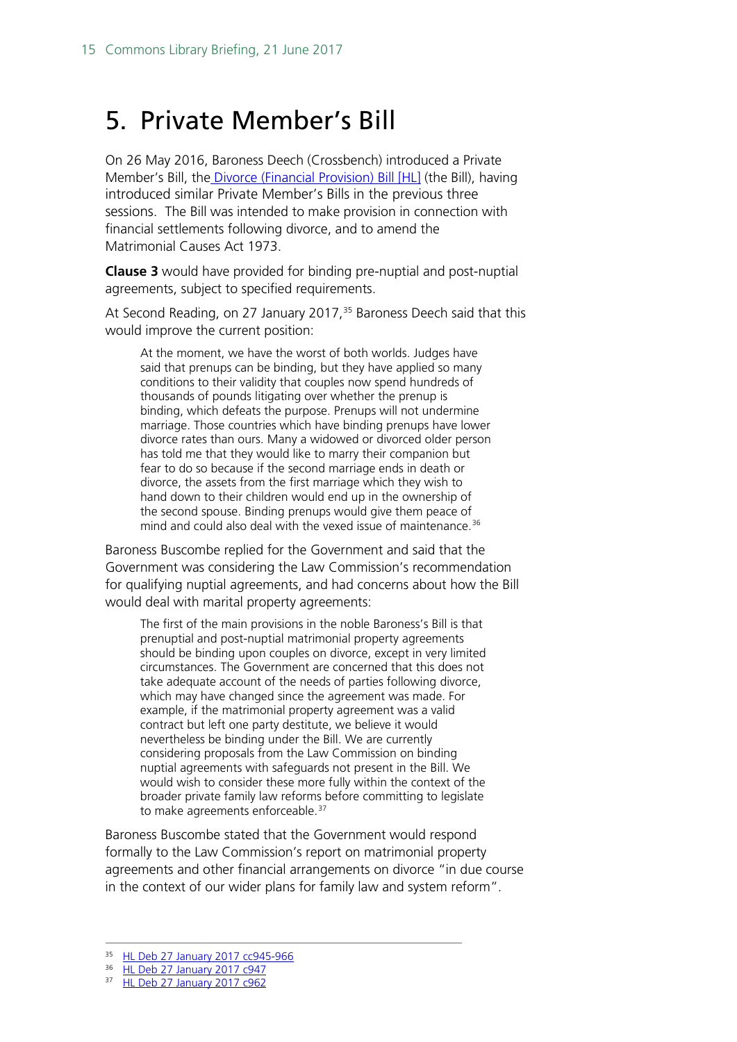# <span id="page-14-0"></span>5. Private Member's Bill

On 26 May 2016, Baroness Deech (Crossbench) introduced a Private Member's Bill, the [Divorce \(Financial Provision\) Bill \[HL\]](http://services.parliament.uk/bills/2016-17/divorcefinancialprovision.html) (the Bill), having introduced similar Private Member's Bills in the previous three sessions. The Bill was intended to make provision in connection with financial settlements following divorce, and to amend the Matrimonial Causes Act 1973.

**Clause 3** would have provided for binding pre-nuptial and post-nuptial agreements, subject to specified requirements.

At Second Reading, on 27 January 2017,<sup>[35](#page-14-1)</sup> Baroness Deech said that this would improve the current position:

At the moment, we have the worst of both worlds. Judges have said that prenups can be binding, but they have applied so many conditions to their validity that couples now spend hundreds of thousands of pounds litigating over whether the prenup is binding, which defeats the purpose. Prenups will not undermine marriage. Those countries which have binding prenups have lower divorce rates than ours. Many a widowed or divorced older person has told me that they would like to marry their companion but fear to do so because if the second marriage ends in death or divorce, the assets from the first marriage which they wish to hand down to their children would end up in the ownership of the second spouse. Binding prenups would give them peace of mind and could also deal with the vexed issue of maintenance.<sup>[36](#page-14-2)</sup>

Baroness Buscombe replied for the Government and said that the Government was considering the Law Commission's recommendation for qualifying nuptial agreements, and had concerns about how the Bill would deal with marital property agreements:

The first of the main provisions in the noble Baroness's Bill is that prenuptial and post-nuptial matrimonial property agreements should be binding upon couples on divorce, except in very limited circumstances. The Government are concerned that this does not take adequate account of the needs of parties following divorce, which may have changed since the agreement was made. For example, if the matrimonial property agreement was a valid contract but left one party destitute, we believe it would nevertheless be binding under the Bill. We are currently considering proposals from the Law Commission on binding nuptial agreements with safeguards not present in the Bill. We would wish to consider these more fully within the context of the broader private family law reforms before committing to legislate to make agreements enforceable.<sup>[37](#page-14-3)</sup>

Baroness Buscombe stated that the Government would respond formally to the Law Commission's report on matrimonial property agreements and other financial arrangements on divorce "in due course in the context of our wider plans for family law and system reform".

<span id="page-14-1"></span> <sup>35</sup> [HL Deb 27 January 2017 cc945-966](https://hansard.parliament.uk/Lords/2017-01-27/debates/D2A8E873-A6D0-42FB-8138-3C6114A1EDD4/Divorce(FinancialProvision)Bill(HL))

<span id="page-14-2"></span><sup>36</sup> [HL Deb 27 January 2017 c947](https://hansard.parliament.uk/Lords/2017-01-27/debates/D2A8E873-A6D0-42FB-8138-3C6114A1EDD4/Divorce(FinancialProvision)Bill(HL))

<span id="page-14-3"></span><sup>37</sup> [HL Deb 27 January 2017 c962](https://hansard.parliament.uk/Lords/2017-01-27/debates/D2A8E873-A6D0-42FB-8138-3C6114A1EDD4/Divorce(FinancialProvision)Bill(HL))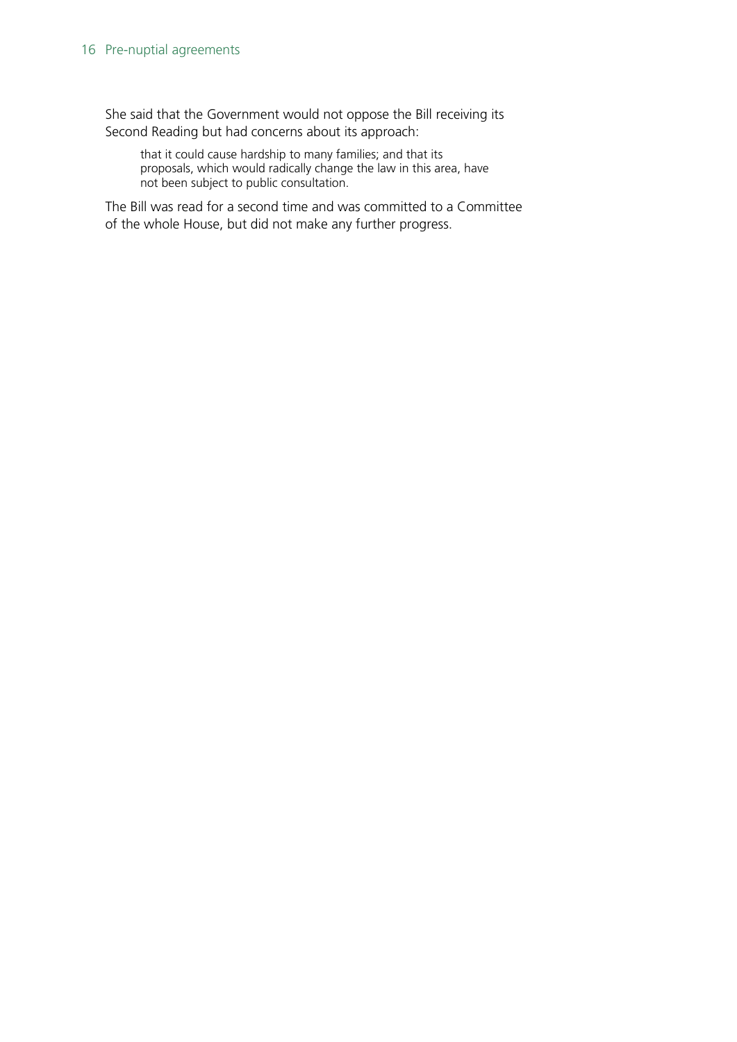She said that the Government would not oppose the Bill receiving its Second Reading but had concerns about its approach:

that it could cause hardship to many families; and that its proposals, which would radically change the law in this area, have not been subject to public consultation.

The Bill was read for a second time and was committed to a Committee of the whole House, but did not make any further progress.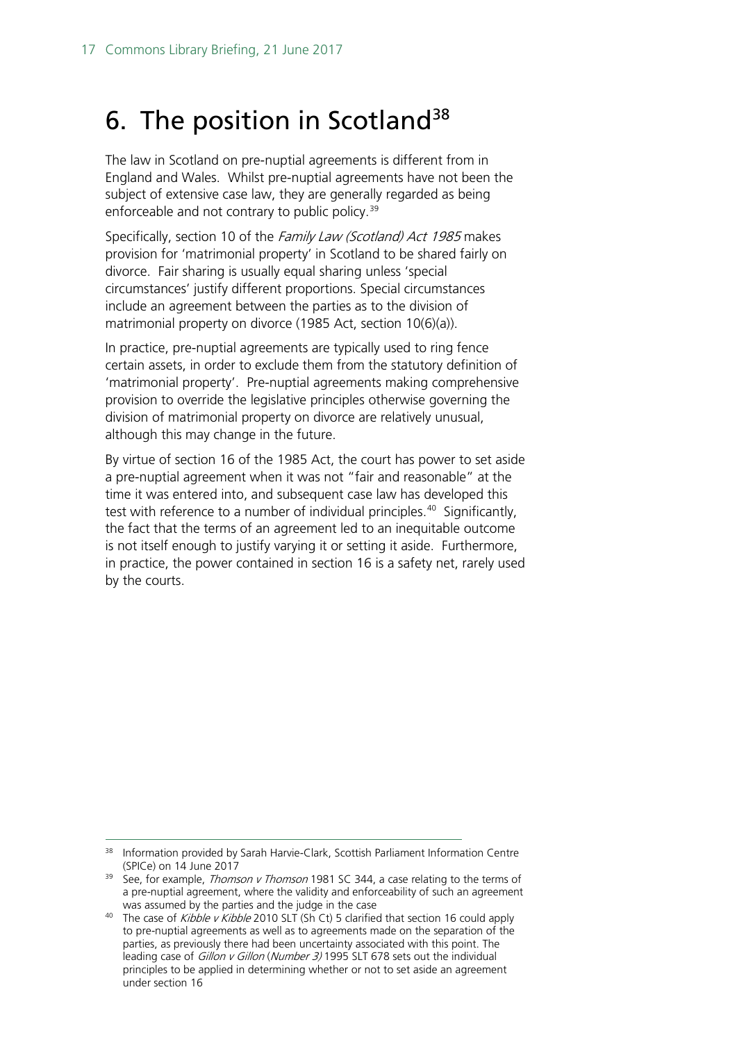# <span id="page-16-0"></span>6. The position in Scotland<sup>[38](#page-16-1)</sup>

The law in Scotland on pre-nuptial agreements is different from in England and Wales. Whilst pre-nuptial agreements have not been the subject of extensive case law, they are generally regarded as being enforceable and not contrary to public policy.<sup>[39](#page-16-2)</sup>

Specifically, section 10 of the Family Law (Scotland) Act 1985 makes provision for 'matrimonial property' in Scotland to be shared fairly on divorce. Fair sharing is usually equal sharing unless 'special circumstances' justify different proportions. Special circumstances include an agreement between the parties as to the division of matrimonial property on divorce (1985 Act, section 10(6)(a)).

In practice, pre-nuptial agreements are typically used to ring fence certain assets, in order to exclude them from the statutory definition of 'matrimonial property'. Pre-nuptial agreements making comprehensive provision to override the legislative principles otherwise governing the division of matrimonial property on divorce are relatively unusual, although this may change in the future.

By virtue of section 16 of the 1985 Act, the court has power to set aside a pre-nuptial agreement when it was not "fair and reasonable" at the time it was entered into, and subsequent case law has developed this test with reference to a number of individual principles.<sup>40</sup> Significantly, the fact that the terms of an agreement led to an inequitable outcome is not itself enough to justify varying it or setting it aside. Furthermore, in practice, the power contained in section 16 is a safety net, rarely used by the courts.

<span id="page-16-1"></span><sup>38</sup> Information provided by Sarah Harvie-Clark, Scottish Parliament Information Centre (SPICe) on 14 June 2017 (SPICe) on 14 June 2017 39 See, for example, Thomson v Thomson 1981 SC 344, a case relating to the terms of

<span id="page-16-2"></span>a pre-nuptial agreement, where the validity and enforceability of such an agreement was assumed by the parties and the judge in the case

<span id="page-16-3"></span><sup>&</sup>lt;sup>40</sup> The case of *Kibble v Kibble* 2010 SLT (Sh Ct) 5 clarified that section 16 could apply to pre-nuptial agreements as well as to agreements made on the separation of the parties, as previously there had been uncertainty associated with this point. The leading case of Gillon v Gillon (Number 3) 1995 SLT 678 sets out the individual principles to be applied in determining whether or not to set aside an agreement under section 16